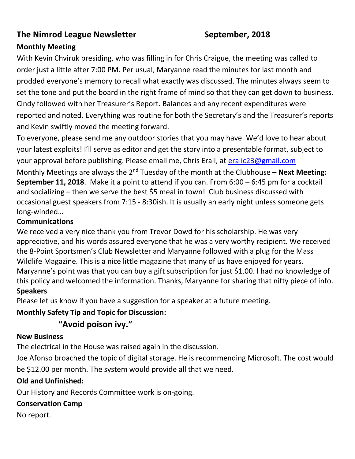## **The Nimrod League Newsletter September, 2018**

## **Monthly Meeting**

With Kevin Chviruk presiding, who was filling in for Chris Craigue, the meeting was called to order just a little after 7:00 PM. Per usual, Maryanne read the minutes for last month and prodded everyone's memory to recall what exactly was discussed. The minutes always seem to set the tone and put the board in the right frame of mind so that they can get down to business. Cindy followed with her Treasurer's Report. Balances and any recent expenditures were reported and noted. Everything was routine for both the Secretary's and the Treasurer's reports and Kevin swiftly moved the meeting forward.

To everyone, please send me any outdoor stories that you may have. We'd love to hear about your latest exploits! I'll serve as editor and get the story into a presentable format, subject to your approval before publishing. Please email me, Chris Erali, at [eralic23@gmail.com](mailto:eralic23@gmail.com) Monthly Meetings are always the 2<sup>nd</sup> Tuesday of the month at the Clubhouse – **Next Meeting: September 11, 2018**. Make it a point to attend if you can. From 6:00 – 6:45 pm for a cocktail and socializing – then we serve the best \$5 meal in town! Club business discussed with occasional guest speakers from 7:15 - 8:30ish. It is usually an early night unless someone gets long-winded…

#### **Communications**

We received a very nice thank you from Trevor Dowd for his scholarship. He was very appreciative, and his words assured everyone that he was a very worthy recipient. We received the 8-Point Sportsmen's Club Newsletter and Maryanne followed with a plug for the Mass Wildlife Magazine. This is a nice little magazine that many of us have enjoyed for years. Maryanne's point was that you can buy a gift subscription for just \$1.00. I had no knowledge of this policy and welcomed the information. Thanks, Maryanne for sharing that nifty piece of info. **Speakers**

Please let us know if you have a suggestion for a speaker at a future meeting.

## **Monthly Safety Tip and Topic for Discussion:**

# **"Avoid poison ivy."**

#### **New Business**

The electrical in the House was raised again in the discussion.

Joe Afonso broached the topic of digital storage. He is recommending Microsoft. The cost would be \$12.00 per month. The system would provide all that we need.

## **Old and Unfinished:**

Our History and Records Committee work is on-going.

# **Conservation Camp**

No report.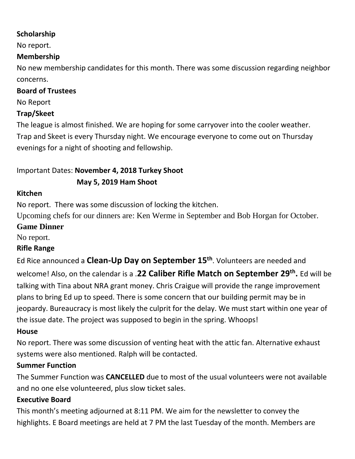#### **Scholarship**

No report.

## **Membership**

No new membership candidates for this month. There was some discussion regarding neighbor concerns.

### **Board of Trustees**

No Report

### **Trap/Skeet**

The league is almost finished. We are hoping for some carryover into the cooler weather. Trap and Skeet is every Thursday night. We encourage everyone to come out on Thursday evenings for a night of shooting and fellowship.

# Important Dates: **November 4, 2018 Turkey Shoot**

## **May 5, 2019 Ham Shoot**

#### **Kitchen**

No report. There was some discussion of locking the kitchen.

Upcoming chefs for our dinners are: Ken Werme in September and Bob Horgan for October.

## **Game Dinner**

No report.

## **Rifle Range**

Ed Rice announced a **Clean-Up Day on September 15th**. Volunteers are needed and welcome! Also, on the calendar is a .**22 Caliber Rifle Match on September 29th .** Ed will be talking with Tina about NRA grant money. Chris Craigue will provide the range improvement plans to bring Ed up to speed. There is some concern that our building permit may be in jeopardy. Bureaucracy is most likely the culprit for the delay. We must start within one year of the issue date. The project was supposed to begin in the spring. Whoops!

## **House**

No report. There was some discussion of venting heat with the attic fan. Alternative exhaust systems were also mentioned. Ralph will be contacted.

## **Summer Function**

The Summer Function was **CANCELLED** due to most of the usual volunteers were not available and no one else volunteered, plus slow ticket sales.

## **Executive Board**

This month's meeting adjourned at 8:11 PM. We aim for the newsletter to convey the highlights. E Board meetings are held at 7 PM the last Tuesday of the month. Members are